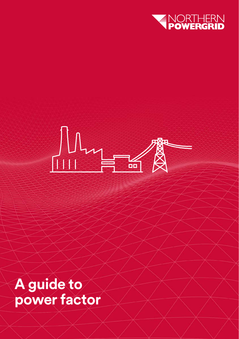



**A guide to power factor**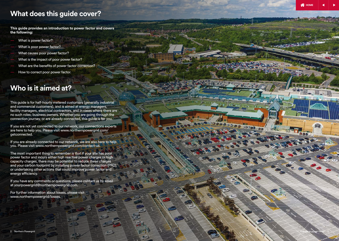### **What does this guide cover?**

**This guide provides an introduction to power factor and covers the following:**

- What is power factor?
- What is poor power factor?
- What causes poor power factor? .
- What is the impact of poor power factor?
- What are the benefits of power factor correction?
- How to correct poor power factor.

# **Who is it aimed at?**

This guide is for half-hourly metered customers (generally industrial and commercial customers), and is aimed at energy managers, facility managers, electrical contractors, and in cases where there are no such roles; business owners. Whether you are going through the connection journey, or are already connected, this guide is for you.

If you are not yet connected to our network, our connections experts [are here to help you. Please visit www.northernpowergrid.com/](www.northernpowergrid.com/getconnected) getconnected.

If you are already connected to our network, we are also here to help you. Please visit www.northernpowergrid.com/contact-us.

The most important thing to remember is that if your site has poor power factor and incurs either high reactive power charges or high capacity charges, there may be potential to reduce these charges and your carbon footprint by installing power factor correction (PFC), or undertaking other actions that could improve power factor and energy efficiency.

If you have any comments or questions, please contact us by email at yourpowergrid@northernpowergrid.com.

[For further information about losses, please visit](www.northernpowergrid/losses) www.northernpowergrid/losses.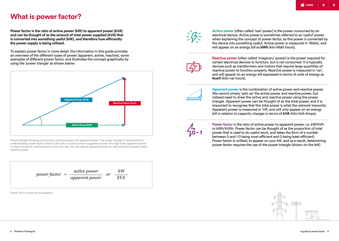### **What is power factor?**

**Power factor is the ratio of active power (kW) to apparent power (kVA) and can be thought of as the amount of total power supplied (kVA) that is converted into something useful (kW), and therefore how efficiently the power supply is being utilised.** 

To explain power factor in more detail, the information in this guide provides an overview of the different types of power (apparent, active, reactive), some examples of different power factor, and illustrates the concept graphically by using the 'power triangle' as shown below.



Power triangle showing active power, reactive power and apparent power. The power triangle is fundamental to understanding power factor, which is the ratio of active power to apparent power. At a high level, apparent power is what you pay for, active power is what you use. You can reduce apparent power by reducing active power and/or reactive power.



Power Factor shown as an equation.



**Active power** (often called 'real' power) is the power consumed by an electrical device. Active power is sometimes referred to as 'useful' power when explaining the concept of power factor, as this power is converted by the device into something useful. Active power is measured in 'Watts', and will appear on an energy bill as **kWh** (kilo-Watt hours).



**Reactive power** (often called 'imaginary' power) is the power required for certain electrical devices to function, but is not consumed. It is typically devices such as transformers and motors that require large quantities of reactive power to function properly. Reactive power is measured in 'var', and will appear on an energy bill expressed in terms of units of energy as **kvarh** (kilo-var hours).



**Apparent power** is the combination of active power and reactive power. We cannot simply 'add-up' the active power and reactive power, but instead need to draw the active and reactive power using the power triangle. Apparent power can be thought of as the total power, and it is important to recognise that this total power is what the network transmits. Apparent power is measured in 'VA', and will only appear on an energy bill in relation to capacity charges in terms of **kVA** (kilo-Volt-Amps).



**Power factor** is the ratio of active power to apparent power, i.e. kW/kVA or kWh/kVAh. Power factor can be thought of as the proportion of total power that is used to do useful work, and takes the form of a number between 0 and 1 (1 being most efficient and 0 being least efficient). Power factor is unlikely to appear on your bill, and as a result, determining power factor requires the use of the power triangle (shown on the left).

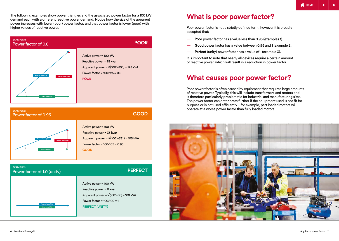The following examples show power triangles and the associated power factor for a 100 kW demand each with a different reactive power demand. Notice how the size of the apparent power increases with lower (poor) power factor, and that power factor is lower (poor) with higher values of reactive power.



**GOOD**



| <b>EXAMPLE 3:</b><br>Power factor of 1.0 (unity) | <b>PERFECT</b>                                                                                                                                                  |
|--------------------------------------------------|-----------------------------------------------------------------------------------------------------------------------------------------------------------------|
| <b>Apparent Power (kVa)</b><br>Active Power (kW) | Active power = 100 kW<br>Reactive power = $0$ kvar<br>Apparent power = $\sqrt{(100^2+0^2)}$ = 100 kVA<br>Power factor = $100/100 = 1$<br><b>PERFECT (UNITY)</b> |

### **What is poor power factor?**

Poor power factor is not a strictly defined term, however it is broadly accepted that:

- **Poor** power factor has a value less than 0.95 (examples 1).
- **Good** power factor has a value between 0.95 and 1 (example 2).
- **Perfect** (unity) power factor has a value of 1 (example 3).

It is important to note that nearly all devices require a certain amount of reactive power, which will result in a reduction in power factor.

### **What causes poor power factor?**

Poor power factor is often caused by equipment that requires large amounts of reactive power. Typically, this will include transformers and motors and is therefore particularly problematic for industrial and manufacturing sites. The power factor can deteriorate further if the equipment used is not fit for purpose or is not used efficiently – for example, part loaded motors will operate at a worse power factor than fully loaded motors.

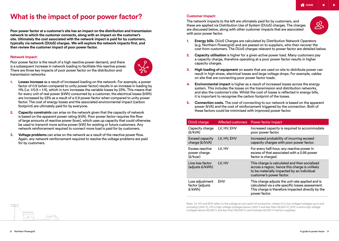# **What is the impact of poor power factor? Customer Impact:**

**Poor power factor at a customer's site has an impact on the distribution and transmission network to which the customer connects, along with an impact on the customer's site. Ultimately the cost associated with the network impact is paid for by customers, typically via network (DUoS) charges. We will explore the network impacts first, and then review the customer impact of poor power factor.**

#### **Network Impact:**

Poor power factor is the result of a high reactive power demand, and there is a subsequent increase in network loading to facilitate this reactive power. There are three key impacts of poor power factor on the distribution and transmission networks:



- **1. Losses increase** as a result of increased loading on the network. For example, a power factor of 0.9 (when compared to unity power factor) results in an increase in loading by 11% (i.e. 1/0.9 = 1.11), which in turn increases the variable losses by 23%. This means that for every unit of real power (kWh) consumed by a customer, the electrical losses (kWh) are increased by 23% as a result of a 0.9 power factor when compared to unity power factor. The cost of energy losses and the associated environmental impact (carbon footprint) are ultimately paid for by everyone.
- **2. Capacity constraints** can arise on the network given that the capacity of network is based on the apparent power rating (kVA). Poor power factor requires the flow of large amounts of reactive power (kvar), which uses up capacity that could otherwise be used to transmit more active power (kW) for existing or future customers. Any network reinforcement required to connect more load is paid for by customers.
- **3. Voltage problems** can arise on the network as a result of the reactive power flow. Again, any network reinforcement required to resolve the voltage problems are paid for by customers.

The network impacts to the left are ultimately paid for by customers, and these are applied via Distribution Use of System (DUoS) charges. The charges are discussed below, along with other customer impacts that are associated with poor power factor.



- **1. Energy bills**. DUoS Charges are calculated by Distribution Network Operators (e.g. Northern Powergrid) and are passed on to suppliers, who then recover the cost from customers. The DUoS charges relevant to power factor are detailed below.
- **2. Capacity utilisation** is higher for a given active power load. Many customers pay a capacity charge, therefore operating at a poor power factor results in higher capacity charges.
- **3. High loading of equipment** on assets that are used on site to distribute power can result in high stress, electrical losses and large voltage drops. For example, cables on site that are connecting poor power factor loads.
- **4. Environmental impact** is higher as a result of increased losses across the energy system. This includes the losses on the transmission and distribution networks, and also the customer's site. Whilst the cost of losses is reflected in energy bills, it is important to recognise the carbon footprint of the losses.
- **5. Connection costs.** The cost of connecting to our network is based on the apparent power (kVA) and the cost of reinforcement triggered by the connection. Both of these factors could be minimised with improved power factor.

| <b>DUoS</b> charge                           |             | Affected customers Power factor impact                                                                                                                                      |
|----------------------------------------------|-------------|-----------------------------------------------------------------------------------------------------------------------------------------------------------------------------|
| Capacity charge<br>(£/kVA)                   | LV, HV, EHV | Increased capacity is required to accommodate<br>poor power factor.                                                                                                         |
| Exceed capacity<br>charge (£/kVA)            | LV, HV, EHV | Increased probability of incurring exceed<br>capacity charges with poor power factor.                                                                                       |
| Excess reactive<br>power charge<br>(£/kvar)  | LV. HV      | For every half-hour, any reactive power in<br>excess of that associated with a 0.95 power<br>factor is charged.                                                             |
| Line loss factor<br>(adjusts £/kWh)          | LV. HV      | This charge is calculated and then socialised<br>across a region, hence this charge is unlikely<br>to be materially impacted by an individual<br>customer's power factor.   |
| Loss adjustment<br>factor (adjusts<br>£/kWh) | EHV         | This charge adjusts the unit rate applied and is<br>calculated via a site specific losses assessment.<br>This charge is therefore impacted directly by the<br>power factor. |

Note: LV, HV and EHV refers to the voltage at your point of connection, where LV is low voltage (voltages up to and including 1,000 V). HV is high voltage (voltages above 1,000 V and less than 33,000 V). EHV is extra high voltage (voltages above 33,000 V and less than 132,000 V; and includes 25,000 V traction supplies).

**AAAAAA** 

 $\mathcal{A}$ 

**THE MANUSCRIP**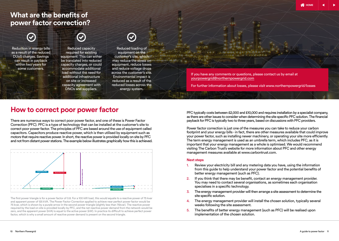### **What are the benefits of power factor correction?**



Reduction in energy bills as a result of the reduced DUoS charges. Savings can result in payback within two years for some customers.



Reduced capacity required for existing equipment. This can either be translated into reduced capacity charges, or could accommodate additional load without the need for additional infrastructure on site or increased capacity agreement with DNOs and suppliers.



Reduced loading of equipment on the customer's site, which may reduce the stress on equipment, reduce losses and reduce voltage drops across the customer's site. Environmental impact is reduced as a result of the reduced losses across the energy system.

If you have any comments or questions, please contact us by email at yourpowergrid@northernpowergrid.com

For further information about losses, please visit www.northernpowergrid/losses

### **How to correct poor power factor**

There are numerous ways to correct poor power factor, and one of these is Power Factor Correction (PFC). PFC is a type of technology that can be installed at the customer's site to correct poor power factor. The principles of PFC are based around the use of equipment called capacitors. Capacitors produce reactive power, which is then utilised by equipment such as motors that require reactive power. In short, the reactive power is provided locally on site by PFC and not from distant power stations. The example below illustrates graphically how this is achieved.



The first power triangle is for a power factor of 0.8. For a 100 kW load, this would equate to a reactive power of 75 kvar and apparent power of 125 kVA. The Power Factor Correction applied to achieve near perfect power factor would be 75 kvar, which is shown by a purple arrow in the second power triangle (slightly less than 75kvar). The reactive power required by the load on site is provided locally by PFC, and the net reactive power demand from the network would be zero, and the apparent power (kVA) is equal to the active power (kW). In practice its difficult to achieve perfect power factor, which is why a small amount of reactive power demand is present on the second triangle.

PFC typically costs between £2,000 and £10,000 and requires installation by a specialist company, as there are other issues to consider when determining the site specific PFC solution. The financial payback for PFC is typically two to three years, based on discussions with PFC providers.

Power factor correction is just one of the measures you can take to reduce your carbon footprint and your energy bills - in fact, there are other measures available that could improve your power factor, such as installing newer machinery, or operating your site more efficiently. The term energy management is used as an umbrella term, which includes PFC, as it is important that your energy management as a whole is optimised. We would recommend visiting The Carbon Trust's website for more information about PFC and other energy management measures available at www.carbontrust.com.

#### **Next steps**

- 1. Review your electricity bill and any metering data you have, using the information from this guide to help understand your power factor and the potential benefits of better energy management (such as PFC).
- 2. If you think that there may be benefit, contact an energy management provider. You may need to contact several organisations, as sometimes each organisation specialises in a specific technology.
- 3. The energy management provider will then arrange a site assessment to determine the site specific solution.
- 4. The energy management provider will install the chosen solution, typically several weeks following the site assessment.
- 5. The benefits of better energy management (such as PFC) will be realised upon implementation of the chosen solution.